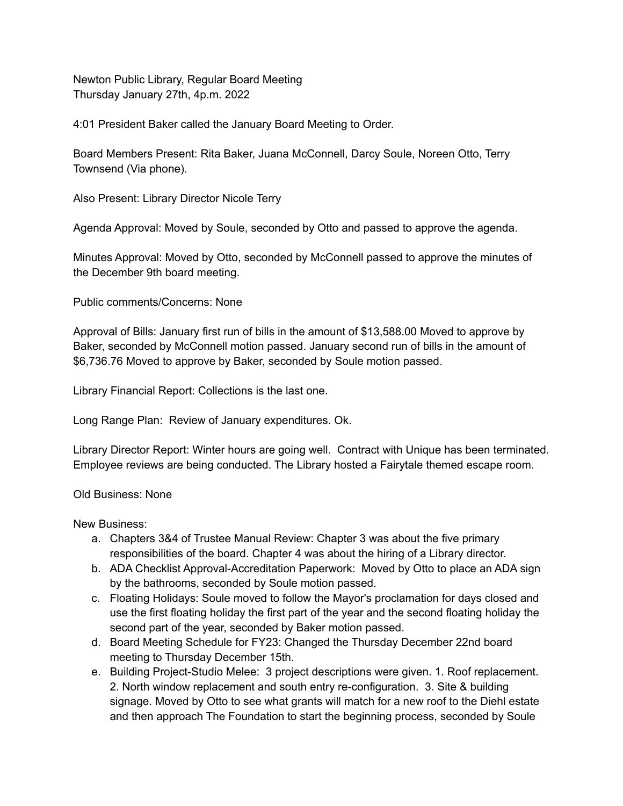Newton Public Library, Regular Board Meeting Thursday January 27th, 4p.m. 2022

4:01 President Baker called the January Board Meeting to Order.

Board Members Present: Rita Baker, Juana McConnell, Darcy Soule, Noreen Otto, Terry Townsend (Via phone).

Also Present: Library Director Nicole Terry

Agenda Approval: Moved by Soule, seconded by Otto and passed to approve the agenda.

Minutes Approval: Moved by Otto, seconded by McConnell passed to approve the minutes of the December 9th board meeting.

Public comments/Concerns: None

Approval of Bills: January first run of bills in the amount of \$13,588.00 Moved to approve by Baker, seconded by McConnell motion passed. January second run of bills in the amount of \$6,736.76 Moved to approve by Baker, seconded by Soule motion passed.

Library Financial Report: Collections is the last one.

Long Range Plan: Review of January expenditures. Ok.

Library Director Report: Winter hours are going well. Contract with Unique has been terminated. Employee reviews are being conducted. The Library hosted a Fairytale themed escape room.

## Old Business: None

New Business:

- a. Chapters 3&4 of Trustee Manual Review: Chapter 3 was about the five primary responsibilities of the board. Chapter 4 was about the hiring of a Library director.
- b. ADA Checklist Approval-Accreditation Paperwork: Moved by Otto to place an ADA sign by the bathrooms, seconded by Soule motion passed.
- c. Floating Holidays: Soule moved to follow the Mayor's proclamation for days closed and use the first floating holiday the first part of the year and the second floating holiday the second part of the year, seconded by Baker motion passed.
- d. Board Meeting Schedule for FY23: Changed the Thursday December 22nd board meeting to Thursday December 15th.
- e. Building Project-Studio Melee: 3 project descriptions were given. 1. Roof replacement. 2. North window replacement and south entry re-configuration. 3. Site & building signage. Moved by Otto to see what grants will match for a new roof to the Diehl estate and then approach The Foundation to start the beginning process, seconded by Soule